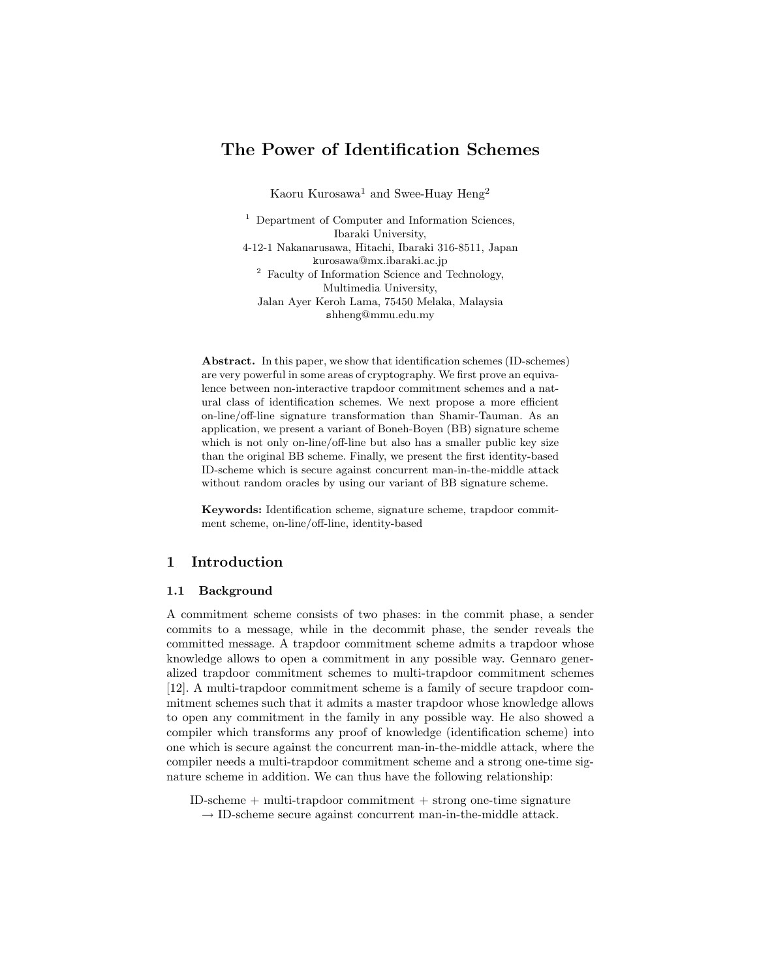# The Power of Identification Schemes

Kaoru Kurosawa<sup>1</sup> and Swee-Huay Heng<sup>2</sup>

<sup>1</sup> Department of Computer and Information Sciences, Ibaraki University, 4-12-1 Nakanarusawa, Hitachi, Ibaraki 316-8511, Japan kurosawa@mx.ibaraki.ac.jp <sup>2</sup> Faculty of Information Science and Technology, Multimedia University, Jalan Ayer Keroh Lama, 75450 Melaka, Malaysia shheng@mmu.edu.my

Abstract. In this paper, we show that identification schemes (ID-schemes) are very powerful in some areas of cryptography. We first prove an equivalence between non-interactive trapdoor commitment schemes and a natural class of identification schemes. We next propose a more efficient on-line/off-line signature transformation than Shamir-Tauman. As an application, we present a variant of Boneh-Boyen (BB) signature scheme which is not only on-line/off-line but also has a smaller public key size than the original BB scheme. Finally, we present the first identity-based ID-scheme which is secure against concurrent man-in-the-middle attack without random oracles by using our variant of BB signature scheme.

Keywords: Identification scheme, signature scheme, trapdoor commitment scheme, on-line/off-line, identity-based

## 1 Introduction

### 1.1 Background

A commitment scheme consists of two phases: in the commit phase, a sender commits to a message, while in the decommit phase, the sender reveals the committed message. A trapdoor commitment scheme admits a trapdoor whose knowledge allows to open a commitment in any possible way. Gennaro generalized trapdoor commitment schemes to multi-trapdoor commitment schemes [12]. A multi-trapdoor commitment scheme is a family of secure trapdoor commitment schemes such that it admits a master trapdoor whose knowledge allows to open any commitment in the family in any possible way. He also showed a compiler which transforms any proof of knowledge (identification scheme) into one which is secure against the concurrent man-in-the-middle attack, where the compiler needs a multi-trapdoor commitment scheme and a strong one-time signature scheme in addition. We can thus have the following relationship:

ID-scheme + multi-trapdoor commitment + strong one-time signature  $\rightarrow$  ID-scheme secure against concurrent man-in-the-middle attack.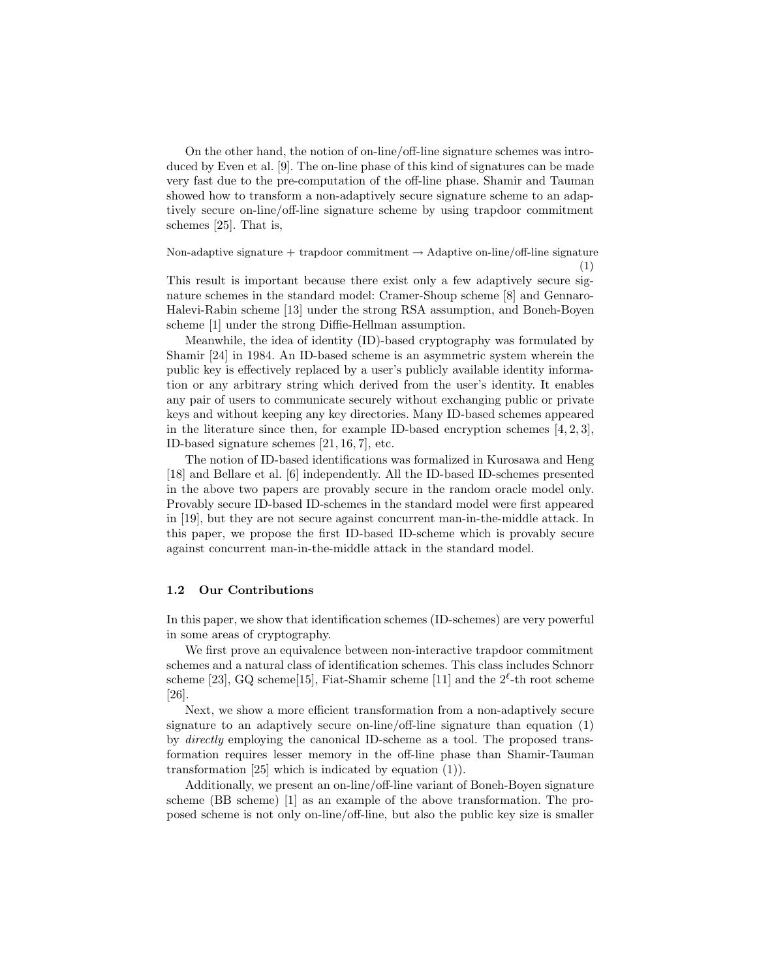On the other hand, the notion of on-line/off-line signature schemes was introduced by Even et al. [9]. The on-line phase of this kind of signatures can be made very fast due to the pre-computation of the off-line phase. Shamir and Tauman showed how to transform a non-adaptively secure signature scheme to an adaptively secure on-line/off-line signature scheme by using trapdoor commitment schemes [25]. That is,

Non-adaptive signature + trapdoor commitment  $\rightarrow$  Adaptive on-line/off-line signature (1)

This result is important because there exist only a few adaptively secure signature schemes in the standard model: Cramer-Shoup scheme [8] and Gennaro-Halevi-Rabin scheme [13] under the strong RSA assumption, and Boneh-Boyen scheme [1] under the strong Diffie-Hellman assumption.

Meanwhile, the idea of identity (ID)-based cryptography was formulated by Shamir [24] in 1984. An ID-based scheme is an asymmetric system wherein the public key is effectively replaced by a user's publicly available identity information or any arbitrary string which derived from the user's identity. It enables any pair of users to communicate securely without exchanging public or private keys and without keeping any key directories. Many ID-based schemes appeared in the literature since then, for example ID-based encryption schemes  $[4, 2, 3]$ , ID-based signature schemes [21, 16, 7], etc.

The notion of ID-based identifications was formalized in Kurosawa and Heng [18] and Bellare et al. [6] independently. All the ID-based ID-schemes presented in the above two papers are provably secure in the random oracle model only. Provably secure ID-based ID-schemes in the standard model were first appeared in [19], but they are not secure against concurrent man-in-the-middle attack. In this paper, we propose the first ID-based ID-scheme which is provably secure against concurrent man-in-the-middle attack in the standard model.

### 1.2 Our Contributions

In this paper, we show that identification schemes (ID-schemes) are very powerful in some areas of cryptography.

We first prove an equivalence between non-interactive trapdoor commitment schemes and a natural class of identification schemes. This class includes Schnorr scheme [23], GQ scheme[15], Fiat-Shamir scheme [11] and the  $2^{\ell}$ -th root scheme [26].

Next, we show a more efficient transformation from a non-adaptively secure signature to an adaptively secure on-line/off-line signature than equation (1) by directly employing the canonical ID-scheme as a tool. The proposed transformation requires lesser memory in the off-line phase than Shamir-Tauman transformation [25] which is indicated by equation (1)).

Additionally, we present an on-line/off-line variant of Boneh-Boyen signature scheme (BB scheme) [1] as an example of the above transformation. The proposed scheme is not only on-line/off-line, but also the public key size is smaller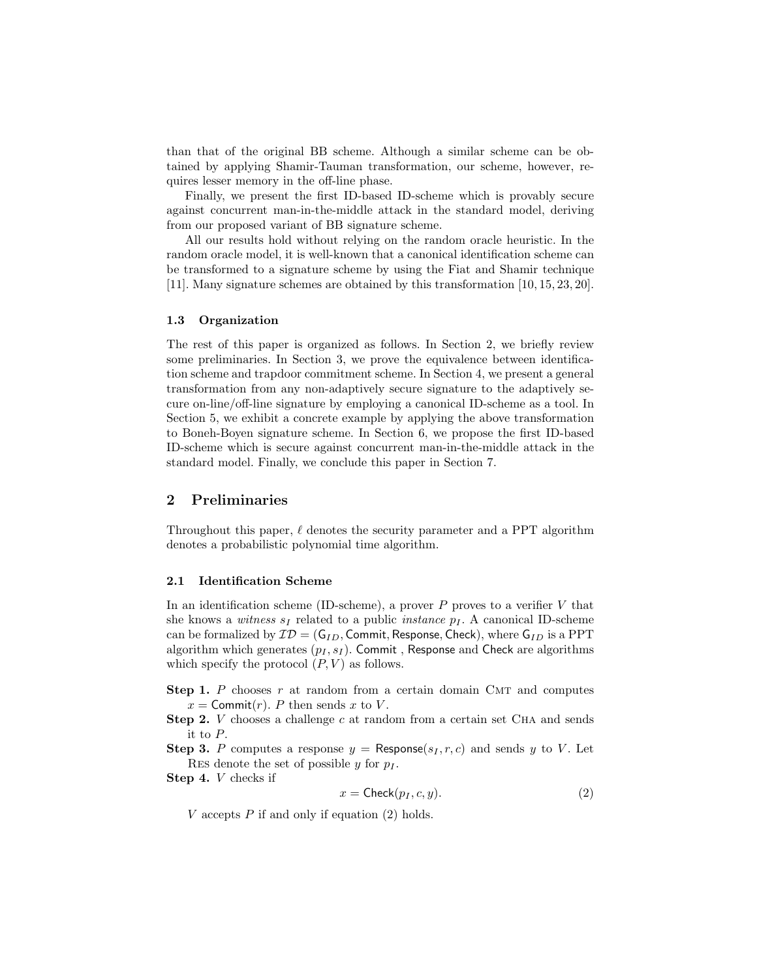than that of the original BB scheme. Although a similar scheme can be obtained by applying Shamir-Tauman transformation, our scheme, however, requires lesser memory in the off-line phase.

Finally, we present the first ID-based ID-scheme which is provably secure against concurrent man-in-the-middle attack in the standard model, deriving from our proposed variant of BB signature scheme.

All our results hold without relying on the random oracle heuristic. In the random oracle model, it is well-known that a canonical identification scheme can be transformed to a signature scheme by using the Fiat and Shamir technique [11]. Many signature schemes are obtained by this transformation [10, 15, 23, 20].

### 1.3 Organization

The rest of this paper is organized as follows. In Section 2, we briefly review some preliminaries. In Section 3, we prove the equivalence between identification scheme and trapdoor commitment scheme. In Section 4, we present a general transformation from any non-adaptively secure signature to the adaptively secure on-line/off-line signature by employing a canonical ID-scheme as a tool. In Section 5, we exhibit a concrete example by applying the above transformation to Boneh-Boyen signature scheme. In Section 6, we propose the first ID-based ID-scheme which is secure against concurrent man-in-the-middle attack in the standard model. Finally, we conclude this paper in Section 7.

## 2 Preliminaries

Throughout this paper,  $\ell$  denotes the security parameter and a PPT algorithm denotes a probabilistic polynomial time algorithm.

### 2.1 Identification Scheme

In an identification scheme (ID-scheme), a prover  $P$  proves to a verifier  $V$  that she knows a *witness*  $s_I$  related to a public *instance*  $p_I$ . A canonical ID-scheme can be formalized by  $\mathcal{ID} = (G_{ID}, \text{Commit}, \text{Response}, \text{Check})$ , where  $G_{ID}$  is a PPT algorithm which generates  $(p_I, s_I)$ . Commit, Response and Check are algorithms which specify the protocol  $(P, V)$  as follows.

**Step 1.** P chooses r at random from a certain domain CMT and computes  $x = \text{Commit}(r)$ . P then sends x to V.

Step 2. *V* chooses a challenge  $c$  at random from a certain set CHA and sends it to P.

**Step 3.** P computes a response  $y = \text{Response}(s_1, r, c)$  and sends y to V. Let RES denote the set of possible y for  $p_I$ .

Step 4. V checks if

$$
x = \mathsf{Check}(p_I, c, y). \tag{2}
$$

V accepts  $P$  if and only if equation (2) holds.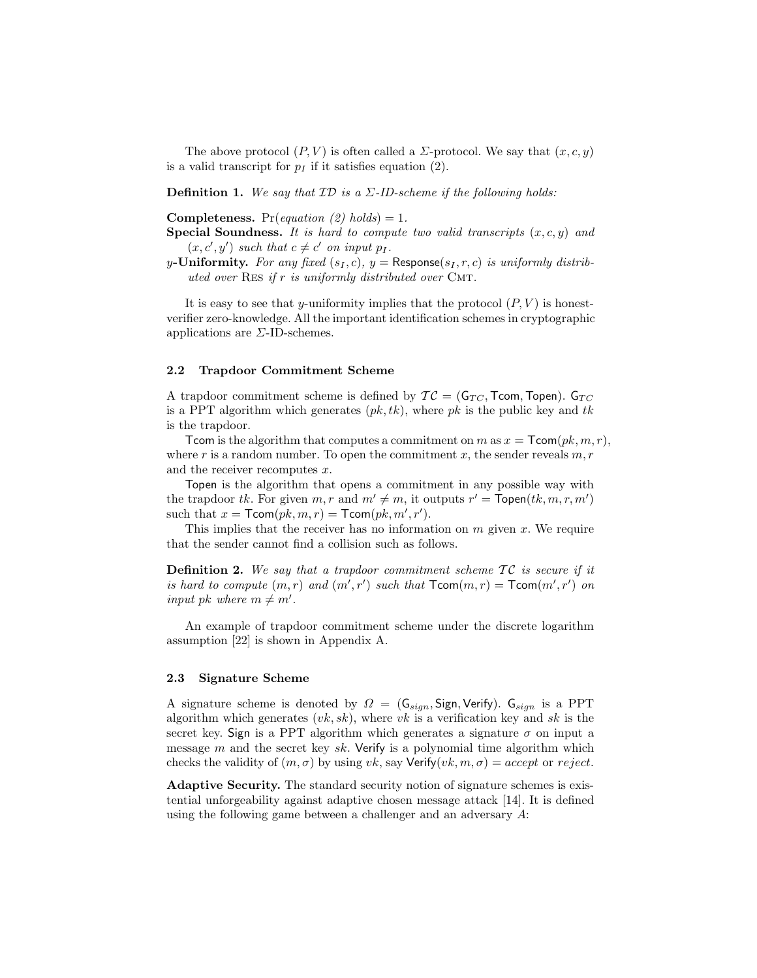The above protocol  $(P, V)$  is often called a *Σ*-protocol. We say that  $(x, c, y)$ is a valid transcript for  $p_I$  if it satisfies equation (2).

**Definition 1.** We say that  $ID$  is a  $\Sigma$ -ID-scheme if the following holds:

**Completeness.** Pr(*equation* (2) holds) = 1.

- **Special Soundness.** It is hard to compute two valid transcripts  $(x, c, y)$  and  $(x, c', y')$  such that  $c \neq c'$  on input  $p_I$ .
- y-Uniformity. For any fixed  $(s_I, c)$ ,  $y =$ Response $(s_I, r, c)$  is uniformly distributed over RES if  $r$  is uniformly distributed over CMT.

It is easy to see that y-uniformity implies that the protocol  $(P, V)$  is honestverifier zero-knowledge. All the important identification schemes in cryptographic applications are  $\Sigma$ -ID-schemes.

#### 2.2 Trapdoor Commitment Scheme

A trapdoor commitment scheme is defined by  $TC = (G_{TC}, \text{Toom}, \text{Topen})$ .  $G_{TC}$ is a PPT algorithm which generates  $(pk, tk)$ , where pk is the public key and tk is the trapdoor.

Trom is the algorithm that computes a commitment on m as  $x = \textsf{Tom}(pk, m, r)$ , where r is a random number. To open the commitment x, the sender reveals  $m, r$ and the receiver recomputes x.

Topen is the algorithm that opens a commitment in any possible way with the trapdoor tk. For given  $m, r$  and  $m' \neq m$ , it outputs  $r' = \text{Topen}(tk, m, r, m')$ such that  $x = \textsf{Tom}(pk, m, r) = \textsf{Tom}(pk, m', r').$ 

This implies that the receiver has no information on  $m$  given  $x$ . We require that the sender cannot find a collision such as follows.

**Definition 2.** We say that a trapdoor commitment scheme  $TC$  is secure if it is hard to compute  $(m,r)$  and  $(m',r')$  such that  $\mathsf{Tcom}(m,r) = \mathsf{Tcom}(m',r')$  on input pk where  $m \neq m'$ .

An example of trapdoor commitment scheme under the discrete logarithm assumption [22] is shown in Appendix A.

### 2.3 Signature Scheme

A signature scheme is denoted by  $\Omega = (G_{sign},$  Sign, Verify).  $G_{sign}$  is a PPT algorithm which generates  $(vk, sk)$ , where vk is a verification key and sk is the secret key. Sign is a PPT algorithm which generates a signature  $\sigma$  on input a message  $m$  and the secret key  $sk$ . Verify is a polynomial time algorithm which checks the validity of  $(m, \sigma)$  by using vk, say Verify $(vk, m, \sigma) = accept$  or reject.

Adaptive Security. The standard security notion of signature schemes is existential unforgeability against adaptive chosen message attack [14]. It is defined using the following game between a challenger and an adversary A: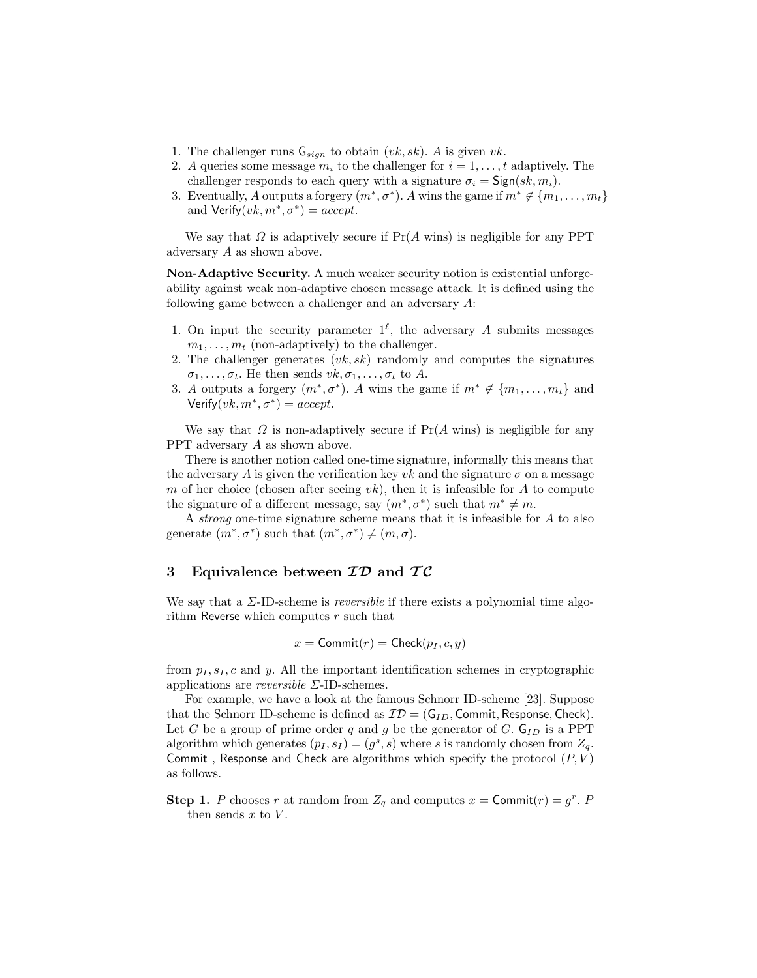- 1. The challenger runs  $\mathsf{G}_{sign}$  to obtain  $(vk, sk)$ . A is given vk.
- 2. A queries some message  $m_i$  to the challenger for  $i = 1, \ldots, t$  adaptively. The challenger responds to each query with a signature  $\sigma_i = \text{Sign}(sk, m_i)$ .
- 3. Eventually, A outputs a forgery  $(m^*, \sigma^*)$ . A wins the game if  $m^* \notin \{m_1, \ldots, m_t\}$ and Verify $(vk, m^*, \sigma^*) = accept.$

We say that  $\Omega$  is adaptively secure if  $Pr(A \text{ wins})$  is negligible for any PPT adversary A as shown above.

Non-Adaptive Security. A much weaker security notion is existential unforgeability against weak non-adaptive chosen message attack. It is defined using the following game between a challenger and an adversary A:

- 1. On input the security parameter  $1^{\ell}$ , the adversary A submits messages  $m_1, \ldots, m_t$  (non-adaptively) to the challenger.
- 2. The challenger generates  $(vk, sk)$  randomly and computes the signatures  $\sigma_1, \ldots, \sigma_t$ . He then sends  $vk, \sigma_1, \ldots, \sigma_t$  to A.
- 3. A outputs a forgery  $(m^*, \sigma^*)$ . A wins the game if  $m^* \notin \{m_1, \ldots, m_t\}$  and Verify $(vk, m^*, \sigma^*) = accept.$

We say that  $\Omega$  is non-adaptively secure if  $Pr(A \text{ wins})$  is negligible for any PPT adversary A as shown above.

There is another notion called one-time signature, informally this means that the adversary A is given the verification key vk and the signature  $\sigma$  on a message m of her choice (chosen after seeing  $vk$ ), then it is infeasible for A to compute the signature of a different message, say  $(m^*, \sigma^*)$  such that  $m^* \neq m$ .

A strong one-time signature scheme means that it is infeasible for A to also generate  $(m^*, \sigma^*)$  such that  $(m^*, \sigma^*) \neq (m, \sigma)$ .

### 3 Equivalence between  $\mathcal{ID}$  and  $\mathcal{TC}$

We say that a  $\Sigma$ -ID-scheme is *reversible* if there exists a polynomial time algorithm Reverse which computes  $r$  such that

$$
x = \mathsf{Commit}(r) = \mathsf{Check}(p_I, c, y)
$$

from  $p_1, s_1, c$  and y. All the important identification schemes in cryptographic applications are *reversible*  $\Sigma$ -ID-schemes.

For example, we have a look at the famous Schnorr ID-scheme [23]. Suppose that the Schnorr ID-scheme is defined as  $\mathcal{ID} = (G_{ID}, \text{Commit}, \text{Response}, \text{Check}).$ Let G be a group of prime order q and g be the generator of G.  $G_{ID}$  is a PPT algorithm which generates  $(p_I, s_I) = (g^s, s)$  where s is randomly chosen from  $Z_q$ . Commit, Response and Check are algorithms which specify the protocol  $(P, V)$ as follows.

**Step 1.** P chooses r at random from  $Z_q$  and computes  $x = \text{Commit}(r) = g^r$ . P then sends  $x$  to  $V$ .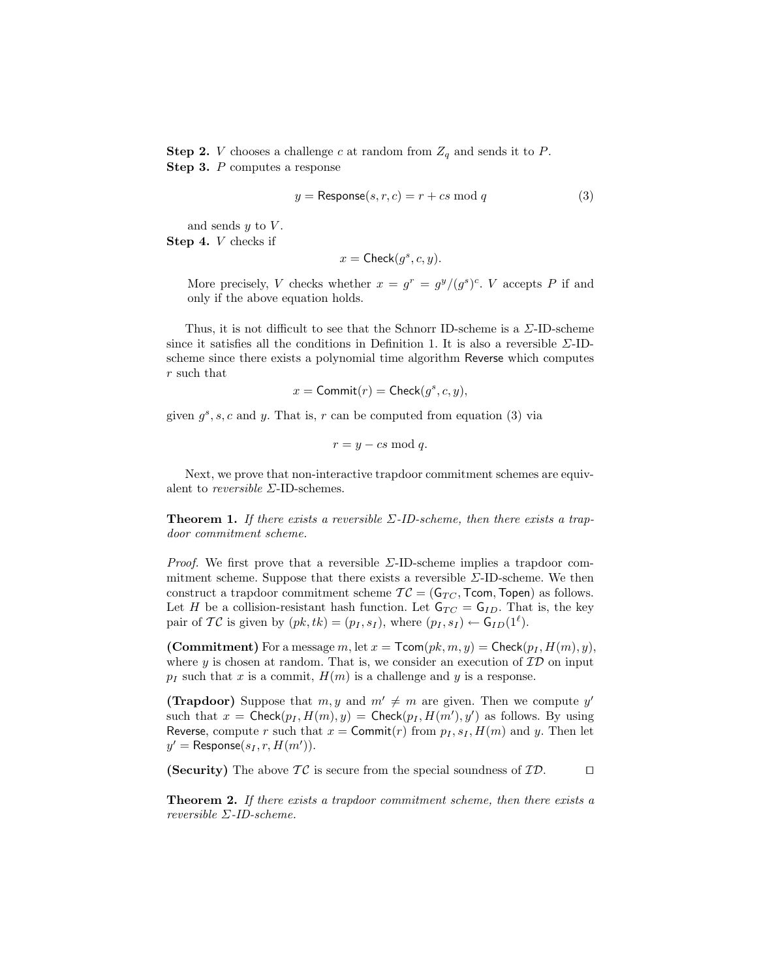**Step 2.** *V* chooses a challenge c at random from  $Z_q$  and sends it to P. Step 3. P computes a response

$$
y = \text{Response}(s, r, c) = r + cs \mod q \tag{3}
$$

and sends  $y$  to  $V$ . Step 4. V checks if

 $x = \mathsf{Check}(g^s, c, y).$ 

More precisely, V checks whether  $x = g^r = g^y/(g^s)^c$ . V accepts P if and only if the above equation holds.

Thus, it is not difficult to see that the Schnorr ID-scheme is a  $\Sigma$ -ID-scheme since it satisfies all the conditions in Definition 1. It is also a reversible  $\Sigma$ -IDscheme since there exists a polynomial time algorithm Reverse which computes r such that

$$
x = \mathsf{Commit}(r) = \mathsf{Check}(g^s, c, y),
$$

given  $g^s$ , s, c and y. That is, r can be computed from equation (3) via

$$
r = y - cs \bmod q.
$$

Next, we prove that non-interactive trapdoor commitment schemes are equivalent to *reversible*  $\Sigma$ -ID-schemes.

**Theorem 1.** If there exists a reversible  $\Sigma$ -ID-scheme, then there exists a trapdoor commitment scheme.

*Proof.* We first prove that a reversible  $\Sigma$ -ID-scheme implies a trapdoor commitment scheme. Suppose that there exists a reversible  $\Sigma$ -ID-scheme. We then construct a trapdoor commitment scheme  $TC = (G_{TC}, \text{Toom}, \text{Topen})$  as follows. Let H be a collision-resistant hash function. Let  $G_{TC} = G_{ID}$ . That is, the key pair of TC is given by  $(pk, tk) = (p_I, s_I)$ , where  $(p_I, s_I) \leftarrow G_{ID}(1^{\ell}).$ 

(Commitment) For a message m, let  $x = \text{Tcom}(pk, m, y) = \text{Check}(p_I, H(m), y)$ , where  $y$  is chosen at random. That is, we consider an execution of  $\mathcal{ID}$  on input  $p_I$  such that x is a commit,  $H(m)$  is a challenge and y is a response.

**(Trapdoor)** Suppose that  $m, y$  and  $m' \neq m$  are given. Then we compute y' such that  $x = \mathsf{Check}(p_I, H(m), y) = \mathsf{Check}(p_I, H(m'), y')$  as follows. By using Reverse, compute r such that  $x = \text{Commit}(r)$  from  $p_I, s_I, H(m)$  and y. Then let  $y' = \mathsf{Response}(s_I, r, H(m')).$ 

(Security) The above  $T\mathcal{C}$  is secure from the special soundness of  $\mathcal{ID}$ .

Theorem 2. If there exists a trapdoor commitment scheme, then there exists a reversible Σ-ID-scheme.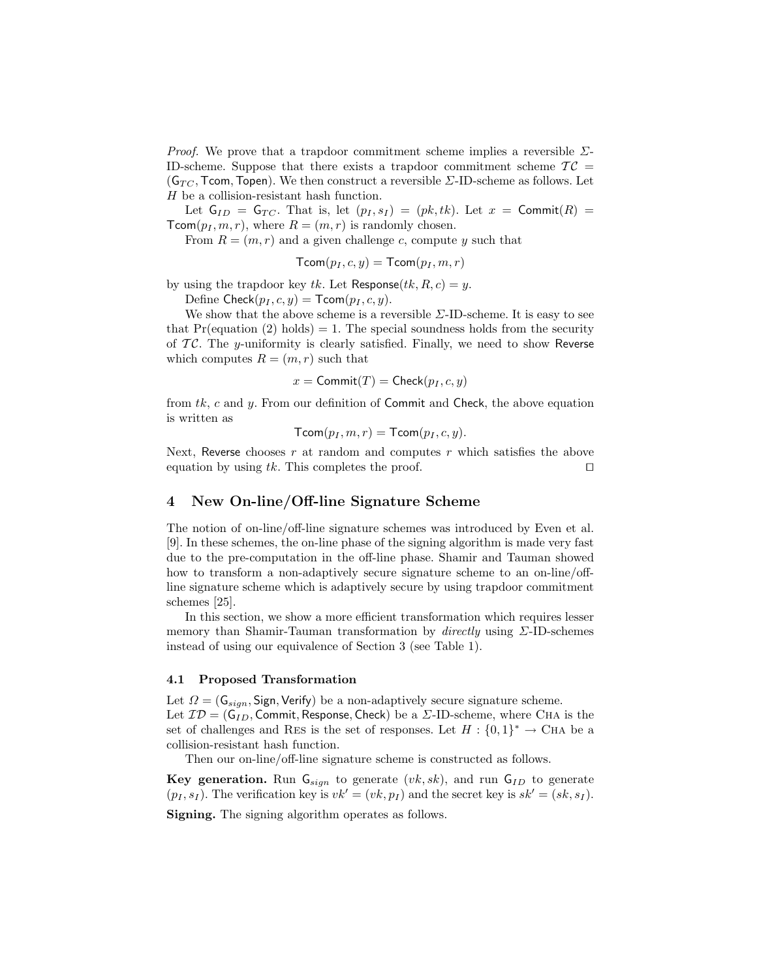*Proof.* We prove that a trapdoor commitment scheme implies a reversible  $\Sigma$ -ID-scheme. Suppose that there exists a trapdoor commitment scheme  $TC =$ ( $G_{TC}$ , Tcom, Topen). We then construct a reversible  $\Sigma$ -ID-scheme as follows. Let  ${\cal H}$  be a collision-resistant hash function.

Let  $G_{ID} = G_{TC}$ . That is, let  $(p_I, s_I) = (pk, tk)$ . Let  $x = \text{Commit}(R) =$  $\mathsf{Tom}(p_1, m, r)$ , where  $R = (m, r)$  is randomly chosen.

From  $R = (m, r)$  and a given challenge c, compute y such that

$$
\mathsf{Tcom}(p_I, c, y) = \mathsf{Tcom}(p_I, m, r)
$$

by using the trapdoor key tk. Let Response(tk,  $R, c$ ) = y.

Define  $\mathsf{Check}(p_I, c, y) = \mathsf{Toom}(p_I, c, y)$ .

We show that the above scheme is a reversible  $\Sigma$ -ID-scheme. It is easy to see that  $Pr$ (equation (2) holds) = 1. The special soundness holds from the security of  $TC$ . The y-uniformity is clearly satisfied. Finally, we need to show Reverse which computes  $R = (m, r)$  such that

$$
x = \mathsf{Commit}(T) = \mathsf{Check}(p_I, c, y)
$$

from  $tk$ , c and y. From our definition of Commit and Check, the above equation is written as

$$
\mathsf{Toom}(p_I, m, r) = \mathsf{Toom}(p_I, c, y).
$$

Next, Reverse chooses  $r$  at random and computes  $r$  which satisfies the above equation by using tk. This completes the proof.  $\Box$ 

## 4 New On-line/Off-line Signature Scheme

The notion of on-line/off-line signature schemes was introduced by Even et al. [9]. In these schemes, the on-line phase of the signing algorithm is made very fast due to the pre-computation in the off-line phase. Shamir and Tauman showed how to transform a non-adaptively secure signature scheme to an on-line/offline signature scheme which is adaptively secure by using trapdoor commitment schemes [25].

In this section, we show a more efficient transformation which requires lesser memory than Shamir-Tauman transformation by directly using  $\Sigma$ -ID-schemes instead of using our equivalence of Section 3 (see Table 1).

### 4.1 Proposed Transformation

Let  $\Omega = (G_{sign},$  Sign, Verify) be a non-adaptively secure signature scheme. Let  $ID = (G<sub>ID</sub>, Committee, Research)$  be a  $\Sigma$ -ID-scheme, where CHA is the set of challenges and RES is the set of responses. Let  $H : \{0,1\}^* \to \text{CHA}$  be a collision-resistant hash function.

Then our on-line/off-line signature scheme is constructed as follows.

Key generation. Run  $\mathsf{G}_{sign}$  to generate  $(vk, sk)$ , and run  $\mathsf{G}_{ID}$  to generate  $(p_I, s_I)$ . The verification key is  $vk' = (vk, p_I)$  and the secret key is  $sk' = (sk, s_I)$ .

Signing. The signing algorithm operates as follows.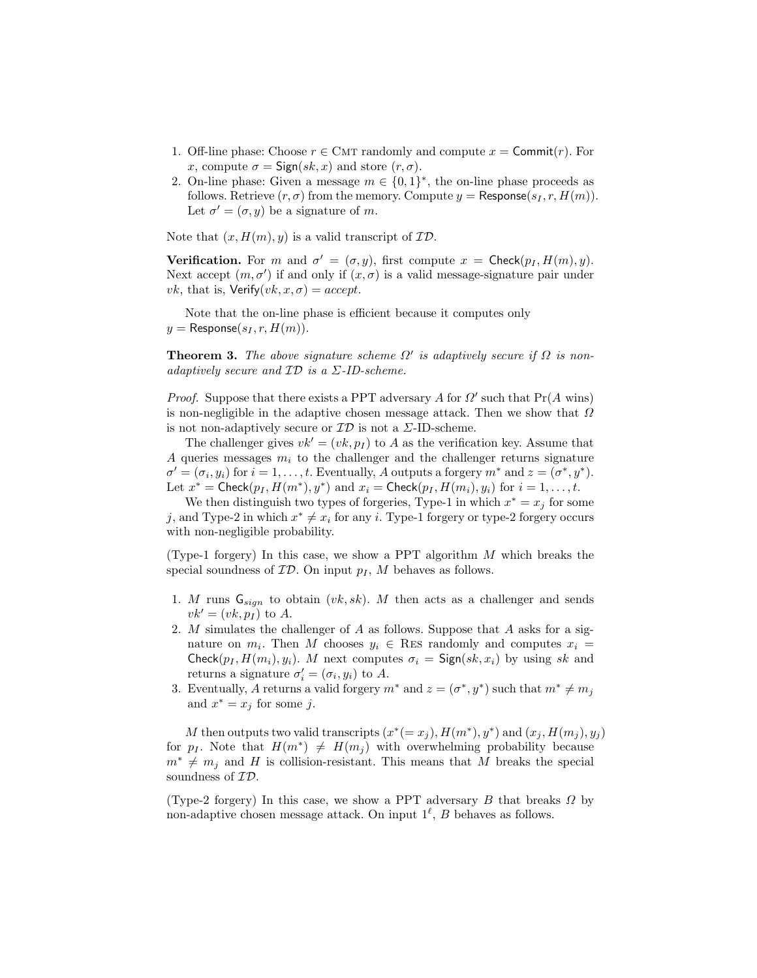- 1. Off-line phase: Choose  $r \in \text{CMT}$  randomly and compute  $x = \text{Commit}(r)$ . For x, compute  $\sigma = \text{Sign}(sk, x)$  and store  $(r, \sigma)$ .
- 2. On-line phase: Given a message  $m \in \{0,1\}^*$ , the on-line phase proceeds as follows. Retrieve  $(r, \sigma)$  from the memory. Compute  $y =$  Response $(s_I, r, H(m))$ . Let  $\sigma' = (\sigma, y)$  be a signature of m.

Note that  $(x, H(m), y)$  is a valid transcript of  $\mathcal{ID}$ .

**Verification.** For m and  $\sigma' = (\sigma, y)$ , first compute  $x = \text{Check}(p_I, H(m), y)$ . Next accept  $(m, \sigma')$  if and only if  $(x, \sigma)$  is a valid message-signature pair under *vk*, that is,  $Verify(vk, x, \sigma) = accept.$ 

Note that the on-line phase is efficient because it computes only  $y =$ Response $(s_I, r, H(m))$ .

**Theorem 3.** The above signature scheme  $\Omega'$  is adaptively secure if  $\Omega$  is nonadaptively secure and  $ID$  is a  $\Sigma$ -ID-scheme.

*Proof.* Suppose that there exists a PPT adversary A for  $\Omega'$  such that Pr(A wins) is non-negligible in the adaptive chosen message attack. Then we show that  $\Omega$ is not non-adaptively secure or  $\mathcal{ID}$  is not a  $\Sigma$ -ID-scheme.

The challenger gives  $vk' = (vk, p_I)$  to A as the verification key. Assume that A queries messages  $m_i$  to the challenger and the challenger returns signature  $\sigma' = (\sigma_i, y_i)$  for  $i = 1, ..., t$ . Eventually, A outputs a forgery  $m^*$  and  $z = (\sigma^*, y^*)$ . Let  $x^* = \text{Check}(p_I, H(m^*), y^*)$  and  $x_i = \text{Check}(p_I, H(m_i), y_i)$  for  $i = 1, \ldots, t$ .

We then distinguish two types of forgeries, Type-1 in which  $x^* = x_j$  for some j, and Type-2 in which  $x^* \neq x_i$  for any i. Type-1 forgery or type-2 forgery occurs with non-negligible probability.

(Type-1 forgery) In this case, we show a PPT algorithm  $M$  which breaks the special soundness of  $\mathcal{ID}$ . On input  $p_I$ , M behaves as follows.

- 1. M runs  $G_{sign}$  to obtain  $(vk, sk)$ . M then acts as a challenger and sends  $vk' = (vk, p_I)$  to A.
- 2. M simulates the challenger of A as follows. Suppose that A asks for a signature on  $m_i$ . Then M chooses  $y_i \in \text{Res}$  randomly and computes  $x_i =$ Check $(p_I, H(m_i), y_i)$ . M next computes  $\sigma_i = \text{Sign}(sk, x_i)$  by using sk and returns a signature  $\sigma_i' = (\sigma_i, y_i)$  to A.
- 3. Eventually, A returns a valid forgery  $m^*$  and  $z = (\sigma^*, y^*)$  such that  $m^* \neq m_j$ and  $x^* = x_j$  for some j.

M then outputs two valid transcripts  $(x^*(=x_j), H(m^*), y^*)$  and  $(x_j, H(m_j), y_j)$ for  $p_I$ . Note that  $H(m^*) \neq H(m_i)$  with overwhelming probability because  $m^* \neq m_j$  and H is collision-resistant. This means that M breaks the special soundness of  $ID$ .

(Type-2 forgery) In this case, we show a PPT adversary B that breaks  $\Omega$  by non-adaptive chosen message attack. On input  $1^{\ell}$ , B behaves as follows.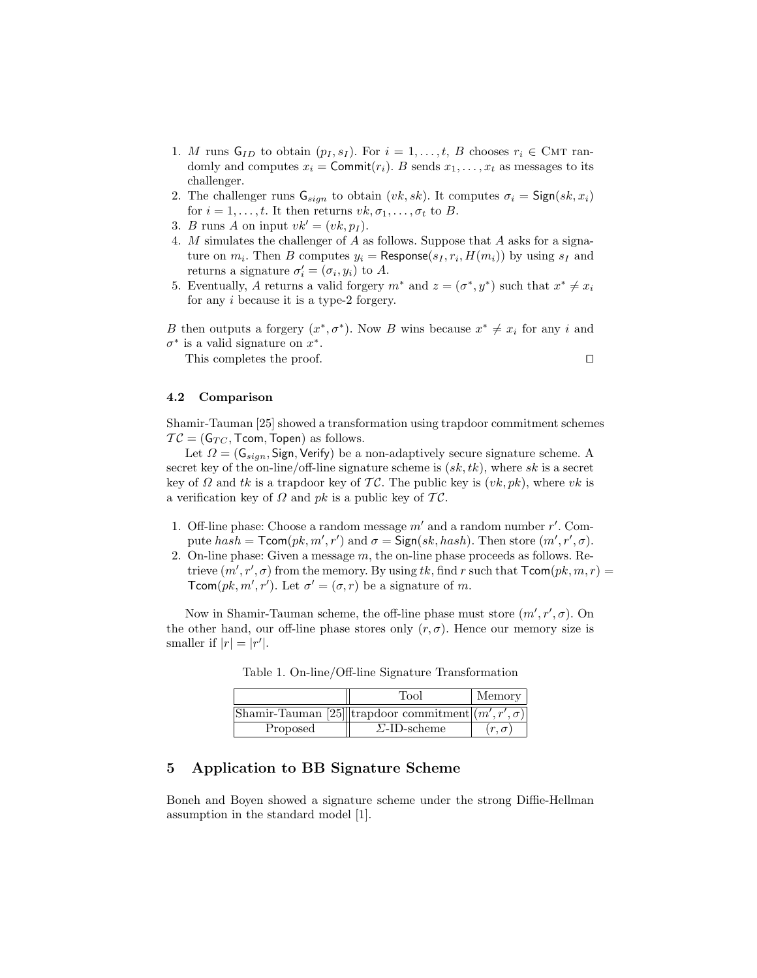- 1. M runs  $G_{ID}$  to obtain  $(p_I, s_I)$ . For  $i = 1, \ldots, t, B$  chooses  $r_i \in \text{CMT}$  randomly and computes  $x_i = \text{Commit}(r_i)$ . B sends  $x_1, \ldots, x_t$  as messages to its challenger.
- 2. The challenger runs  $\mathsf{G}_{sign}$  to obtain  $(vk, sk)$ . It computes  $\sigma_i = \mathsf{Sign}(sk, x_i)$ for  $i = 1, \ldots, t$ . It then returns  $vk, \sigma_1, \ldots, \sigma_t$  to B.
- 3. B runs A on input  $vk' = (vk, p_I)$ .
- 4. M simulates the challenger of A as follows. Suppose that A asks for a signature on  $m_i$ . Then B computes  $y_i =$ Response $(s_I, r_i, H(m_i))$  by using  $s_I$  and returns a signature  $\sigma_i' = (\sigma_i, y_i)$  to A.
- 5. Eventually, A returns a valid forgery  $m^*$  and  $z = (\sigma^*, y^*)$  such that  $x^* \neq x_i$ for any i because it is a type-2 forgery.

B then outputs a forgery  $(x^*, \sigma^*)$ . Now B wins because  $x^* \neq x_i$  for any i and  $\sigma^*$  is a valid signature on  $x^*$ .

This completes the proof.

$$
\qquad \qquad \Box
$$

### 4.2 Comparison

Shamir-Tauman [25] showed a transformation using trapdoor commitment schemes  $TC = (G_{TC}, \text{Toom}, \text{Topen})$  as follows.

Let  $\Omega = (G_{sign}, Sign, Verify)$  be a non-adaptively secure signature scheme. A secret key of the on-line/off-line signature scheme is  $(sk, tk)$ , where sk is a secret key of  $\Omega$  and tk is a trapdoor key of TC. The public key is  $(vk, pk)$ , where vk is a verification key of  $\Omega$  and pk is a public key of  $\mathcal{TC}$ .

- 1. Off-line phase: Choose a random message  $m'$  and a random number  $r'$ . Compute  $hash = \mathsf{Tcom}(pk, m', r')$  and  $\sigma = \mathsf{Sign}(sk, hash)$ . Then store  $(m', r', \sigma)$ .
- 2. On-line phase: Given a message  $m$ , the on-line phase proceeds as follows. Retrieve  $(m', r', \sigma)$  from the memory. By using tk, find r such that  $\mathsf{Toom}(pk, m, r)$  = Tcom $(pk, m', r')$ . Let  $\sigma' = (\sigma, r)$  be a signature of m.

Now in Shamir-Tauman scheme, the off-line phase must store  $(m', r', \sigma)$ . On the other hand, our off-line phase stores only  $(r, \sigma)$ . Hence our memory size is smaller if  $|r| = |r'|$ .

|          | Tool                                                                    | Memory        |
|----------|-------------------------------------------------------------------------|---------------|
|          | $ \text{Shamir-Tauman} [25]  $ trapdoor commitment $ (m', r', \sigma) $ |               |
| Proposed | $\Sigma$ -ID-scheme                                                     | $(r, \sigma)$ |

Table 1. On-line/Off-line Signature Transformation

## 5 Application to BB Signature Scheme

Boneh and Boyen showed a signature scheme under the strong Diffie-Hellman assumption in the standard model [1].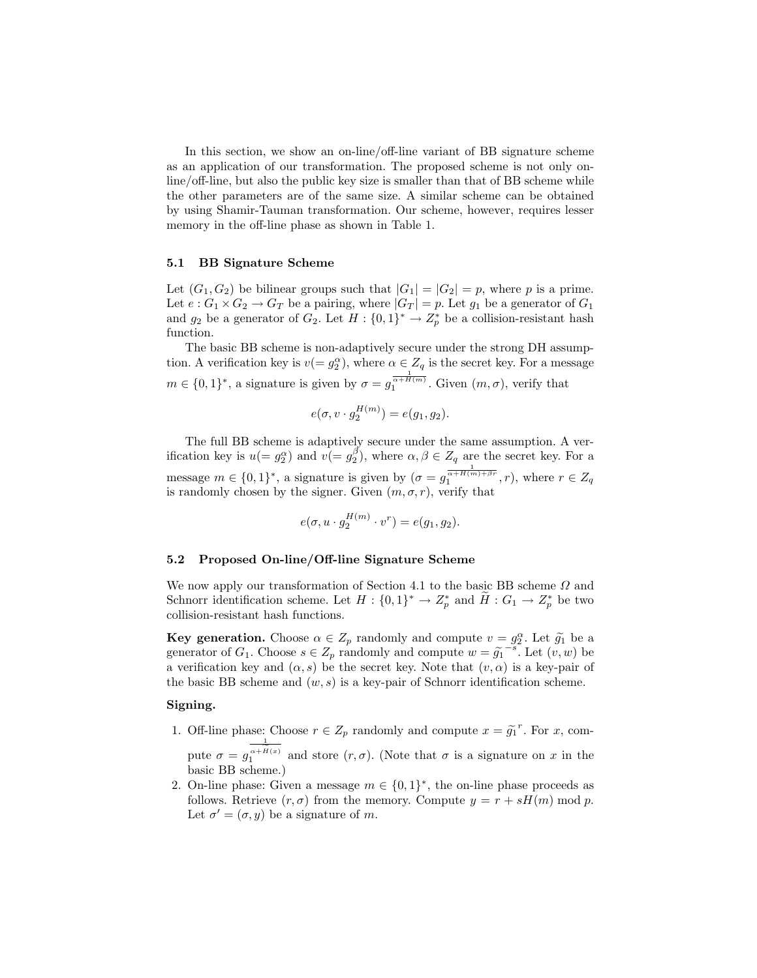In this section, we show an on-line/off-line variant of BB signature scheme as an application of our transformation. The proposed scheme is not only online/off-line, but also the public key size is smaller than that of BB scheme while the other parameters are of the same size. A similar scheme can be obtained by using Shamir-Tauman transformation. Our scheme, however, requires lesser memory in the off-line phase as shown in Table 1.

### 5.1 BB Signature Scheme

Let  $(G_1, G_2)$  be bilinear groups such that  $|G_1| = |G_2| = p$ , where p is a prime. Let  $e: G_1 \times G_2 \to G_T$  be a pairing, where  $|G_T| = p$ . Let  $g_1$  be a generator of  $G_1$ and  $g_2$  be a generator of  $G_2$ . Let  $H: \{0,1\}^* \to Z_p^*$  be a collision-resistant hash function.

The basic BB scheme is non-adaptively secure under the strong DH assumption. A verification key is  $v(=g_2^{\alpha})$ , where  $\alpha \in Z_q$  is the secret key. For a message  $m \in \{0,1\}^*$ , a signature is given by  $\sigma = g_1^{\frac{1}{\alpha + H(m)}}$ . Given  $(m, \sigma)$ , verify that

$$
e(\sigma, v \cdot g_2^{H(m)}) = e(g_1, g_2).
$$

The full BB scheme is adaptively secure under the same assumption. A verification key is  $u(=g_2^{\alpha})$  and  $v(=g_2^{\beta})$ , where  $\alpha, \beta \in Z_q$  are the secret key. For a message  $m \in \{0,1\}^*$ , a signature is given by  $(\sigma = g_1^{\frac{1}{\alpha + H(m) + \beta r}}, r)$ , where  $r \in Z_q$ is randomly chosen by the signer. Given  $(m, \sigma, r)$ , verify that

$$
e(\sigma, u \cdot g_2^{H(m)} \cdot v^r) = e(g_1, g_2).
$$

### 5.2 Proposed On-line/Off-line Signature Scheme

We now apply our transformation of Section 4.1 to the basic BB scheme  $\Omega$  and Schnorr identification scheme. Let  $H: \{0,1\}^* \to Z_p^*$  and  $H: G_1 \to Z_p^*$  be two collision-resistant hash functions.

**Key generation.** Choose  $\alpha \in Z_p$  randomly and compute  $v = g_2^{\alpha}$ . Let  $\widetilde{g_1}$  be a generator of  $G_1$ . Choose  $s \in Z_p$  randomly and compute  $w = \widetilde{g_1}^{-s}$ . Let  $(v, w)$  be a verification key and  $(\alpha, s)$  be the secret key. Note that  $(v, \alpha)$  is a key-pair of the basic BB scheme and  $(w, s)$  is a key-pair of Schnorr identification scheme.

### Signing.

- 1. Off-line phase: Choose  $r \in Z_p$  randomly and compute  $x = \tilde{g_1}^r$ . For  $x$ , compute  $\sigma = g$ 1  $\int_{1}^{\alpha+H(x)}$  and store  $(r,\sigma)$ . (Note that  $\sigma$  is a signature on x in the basic BB scheme.)
- 2. On-line phase: Given a message  $m \in \{0,1\}^*$ , the on-line phase proceeds as follows. Retrieve  $(r, \sigma)$  from the memory. Compute  $y = r + sH(m) \mod p$ . Let  $\sigma' = (\sigma, y)$  be a signature of m.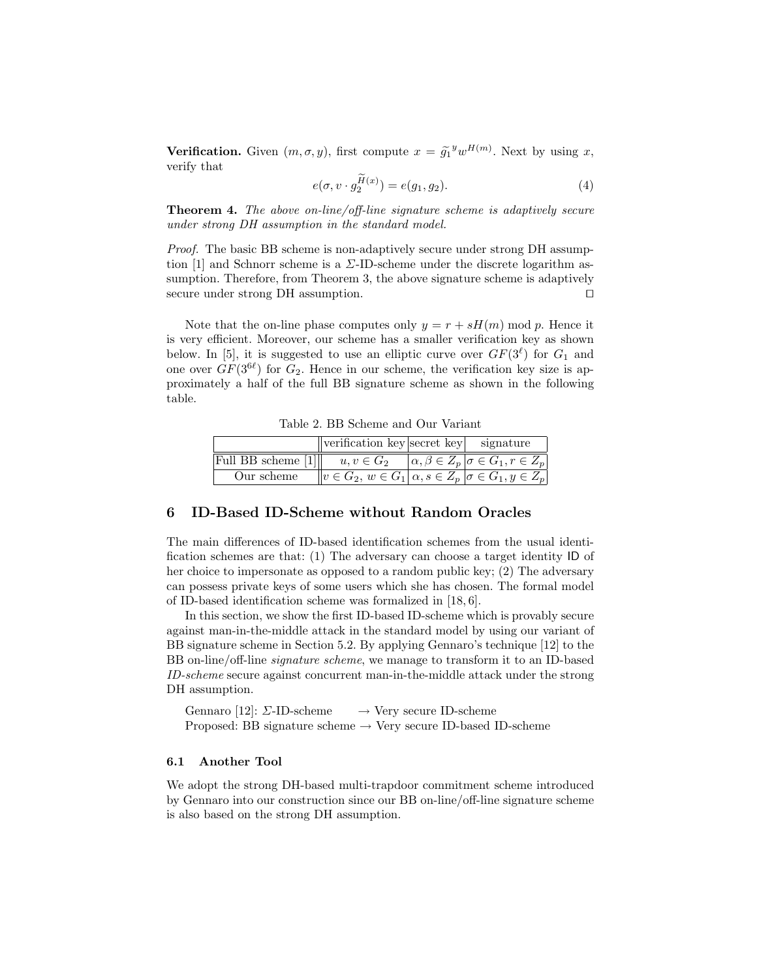**Verification.** Given  $(m, \sigma, y)$ , first compute  $x = \tilde{g_1}^y w^{H(m)}$ . Next by using x, verify that

$$
e(\sigma, v \cdot g_2^{\widetilde{H}(x)}) = e(g_1, g_2). \tag{4}
$$

Theorem 4. The above on-line/off-line signature scheme is adaptively secure under strong DH assumption in the standard model.

Proof. The basic BB scheme is non-adaptively secure under strong DH assumption [1] and Schnorr scheme is a  $\Sigma$ -ID-scheme under the discrete logarithm assumption. Therefore, from Theorem 3, the above signature scheme is adaptively secure under strong DH assumption.  $\square$ 

Note that the on-line phase computes only  $y = r + sH(m) \mod p$ . Hence it is very efficient. Moreover, our scheme has a smaller verification key as shown below. In [5], it is suggested to use an elliptic curve over  $GF(3^{\ell})$  for  $G_1$  and one over  $GF(3^{6\ell})$  for  $G_2$ . Hence in our scheme, the verification key size is approximately a half of the full BB signature scheme as shown in the following table.

Table 2. BB Scheme and Our Variant

|                                     | $\sqrt{\frac{1}{2}}$ verification key secret key signature                 |                                                        |
|-------------------------------------|----------------------------------------------------------------------------|--------------------------------------------------------|
| Full BB scheme $[1]$ $u, v \in G_2$ |                                                                            | $\alpha, \beta \in Z_p \mid \sigma \in G_1, r \in Z_p$ |
| Our scheme                          | $  v \in G_2, w \in G_1   \alpha, s \in Z_p   \sigma \in G_1, y \in Z_p  $ |                                                        |

## 6 ID-Based ID-Scheme without Random Oracles

The main differences of ID-based identification schemes from the usual identification schemes are that: (1) The adversary can choose a target identity ID of her choice to impersonate as opposed to a random public key; (2) The adversary can possess private keys of some users which she has chosen. The formal model of ID-based identification scheme was formalized in [18, 6].

In this section, we show the first ID-based ID-scheme which is provably secure against man-in-the-middle attack in the standard model by using our variant of BB signature scheme in Section 5.2. By applying Gennaro's technique [12] to the BB on-line/off-line signature scheme, we manage to transform it to an ID-based ID-scheme secure against concurrent man-in-the-middle attack under the strong DH assumption.

Gennaro [12]:  $\Sigma$ -ID-scheme  $\rightarrow$  Very secure ID-scheme Proposed: BB signature scheme  $\rightarrow$  Very secure ID-based ID-scheme

### 6.1 Another Tool

We adopt the strong DH-based multi-trapdoor commitment scheme introduced by Gennaro into our construction since our BB on-line/off-line signature scheme is also based on the strong DH assumption.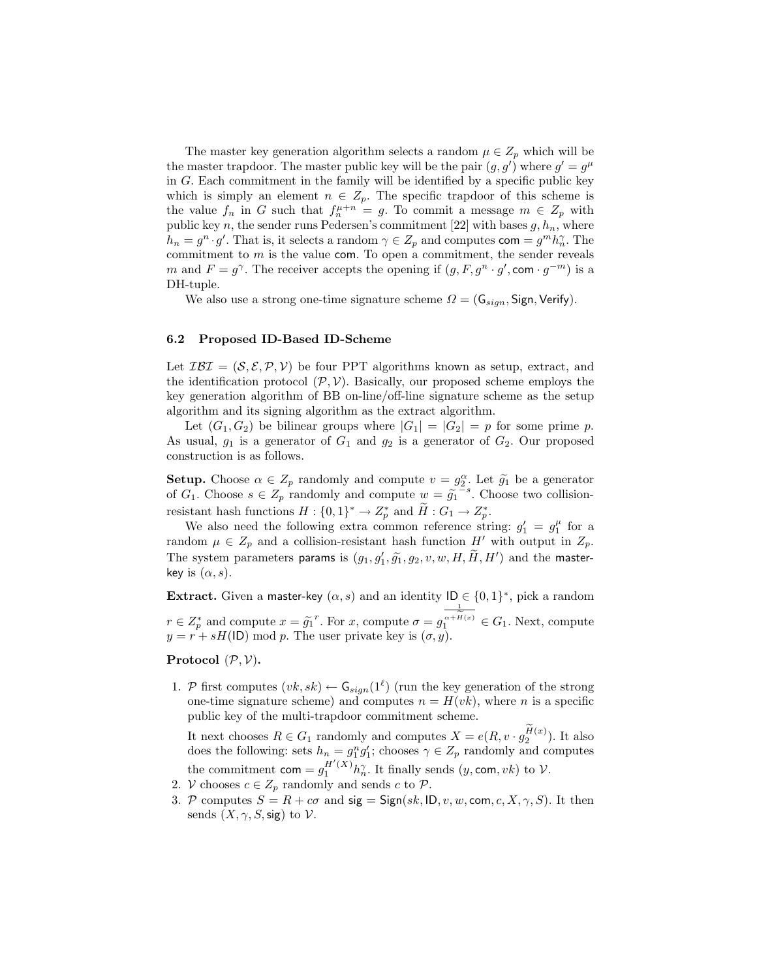The master key generation algorithm selects a random  $\mu \in Z_p$  which will be the master trapdoor. The master public key will be the pair  $(g, g')$  where  $g' = g^{\mu}$ in G. Each commitment in the family will be identified by a specific public key which is simply an element  $n \in Z_p$ . The specific trapdoor of this scheme is the value  $f_n$  in G such that  $f_n^{\mu+n} = g$ . To commit a message  $m \in Z_p$  with public key n, the sender runs Pedersen's commitment [22] with bases  $g, h_n$ , where  $h_n = g^n \cdot g'$ . That is, it selects a random  $\gamma \in Z_p$  and computes com  $= g^m h_n^{\gamma}$ . The commitment to  $m$  is the value com. To open a commitment, the sender reveals m and  $F = g^{\gamma}$ . The receiver accepts the opening if  $(g, F, g^n \cdot g', \text{com} \cdot g^{-m})$  is a DH-tuple.

We also use a strong one-time signature scheme  $\Omega = (G_{sian}, Sign, Verify)$ .

### 6.2 Proposed ID-Based ID-Scheme

Let  $IBI = (S, \mathcal{E}, \mathcal{P}, \mathcal{V})$  be four PPT algorithms known as setup, extract, and the identification protocol  $(\mathcal{P}, \mathcal{V})$ . Basically, our proposed scheme employs the key generation algorithm of BB on-line/off-line signature scheme as the setup algorithm and its signing algorithm as the extract algorithm.

Let  $(G_1, G_2)$  be bilinear groups where  $|G_1| = |G_2| = p$  for some prime p. As usual,  $g_1$  is a generator of  $G_1$  and  $g_2$  is a generator of  $G_2$ . Our proposed construction is as follows.

**Setup.** Choose  $\alpha \in Z_p$  randomly and compute  $v = g_2^{\alpha}$ . Let  $\tilde{g_1}$  be a generator of  $G_1$ . Choose  $s \in Z_p$  randomly and compute  $w = \widetilde{g_1}^{-s}$ . Choose two collisionresistant hash functions  $H: \{0,1\}^* \to Z_p^*$  and  $H: G_1 \to Z_p^*$ .

We also need the following extra common reference string:  $g'_1 = g_1^{\mu}$  for a random  $\mu \in Z_p$  and a collision-resistant hash function H' with output in  $Z_p$ . The system parameters params is  $(g_1, g'_1, \tilde{g_1}, g_2, v, w, H, H, H')$  and the masterkey is  $(\alpha, s)$ .

Extract. Given a master-key  $(\alpha, s)$  and an identity  $\mathsf{ID} \in \{0, 1\}^*$ , pick a random  $r \in Z_p^*$  and compute  $x = \tilde{g}_1^r$ . For x, compute  $\sigma = g$ 1  $a^{+H(x)} \in G_1$ . Next, compute  $y = r + sH(1D)$  mod p. The user private key is  $(\sigma, y)$ .

### Protocol  $(\mathcal{P}, \mathcal{V})$ .

1. P first computes  $(vk, sk) \leftarrow G_{sian}(1^{\ell})$  (run the key generation of the strong one-time signature scheme) and computes  $n = H(vk)$ , where n is a specific public key of the multi-trapdoor commitment scheme.

It next chooses  $R \in G_1$  randomly and computes  $X = e(R, v \cdot g_2^{H(x)})$ . It also does the following: sets  $h_n = g_1^n g_1'$ ; chooses  $\gamma \in Z_p$  randomly and computes the commitment  $com = g_1^{H'(X)} h_n^{\gamma}$ . It finally sends  $(y, com, vk)$  to  $\mathcal V$ .

- 2. V chooses  $c \in Z_p$  randomly and sends c to  $\mathcal{P}$ .
- 3. P computes  $S = R + c\sigma$  and  $sig = Sign(sk, ID, v, w, com, c, X, \gamma, S)$ . It then sends  $(X, \gamma, S, \text{sig})$  to  $\mathcal V$ .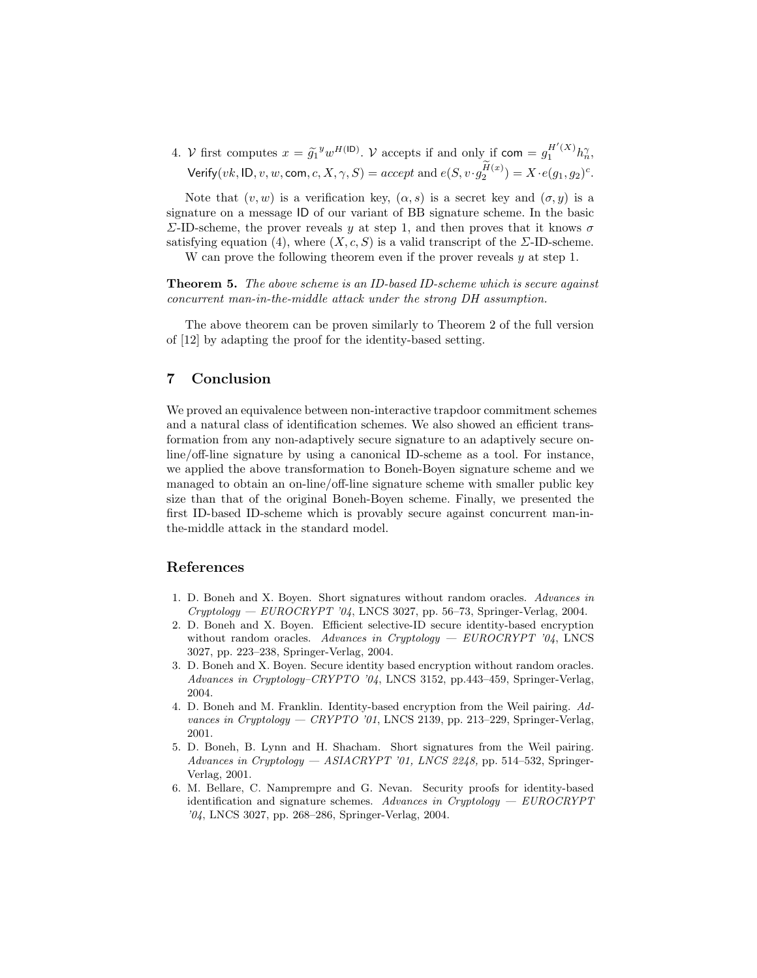4. V first computes  $x = \tilde{g}_1^y w^{H(\mathsf{ID})}$ . V accepts if and only if  $\mathsf{com} = g_1^{H'(X)} h_n^{\gamma}$ , Verify $(vk, \mathsf{ID}, v, w, \mathsf{com}, c, X, \gamma, S) = accept \text{ and } e(S, v \cdot g_2^{H(x)}) = X \cdot e(g_1, g_2)^c.$ 

Note that  $(v, w)$  is a verification key,  $(\alpha, s)$  is a secret key and  $(\sigma, y)$  is a signature on a message ID of our variant of BB signature scheme. In the basic  $Σ$ -ID-scheme, the prover reveals y at step 1, and then proves that it knows σ satisfying equation (4), where  $(X, c, S)$  is a valid transcript of the  $\Sigma$ -ID-scheme.

W can prove the following theorem even if the prover reveals y at step 1.

Theorem 5. The above scheme is an ID-based ID-scheme which is secure against concurrent man-in-the-middle attack under the strong DH assumption.

The above theorem can be proven similarly to Theorem 2 of the full version of [12] by adapting the proof for the identity-based setting.

## 7 Conclusion

We proved an equivalence between non-interactive trapdoor commitment schemes and a natural class of identification schemes. We also showed an efficient transformation from any non-adaptively secure signature to an adaptively secure online/off-line signature by using a canonical ID-scheme as a tool. For instance, we applied the above transformation to Boneh-Boyen signature scheme and we managed to obtain an on-line/off-line signature scheme with smaller public key size than that of the original Boneh-Boyen scheme. Finally, we presented the first ID-based ID-scheme which is provably secure against concurrent man-inthe-middle attack in the standard model.

## References

- 1. D. Boneh and X. Boyen. Short signatures without random oracles. Advances in  $Cryptography - EUROCRYPT'04$ , LNCS 3027, pp. 56–73, Springer-Verlag, 2004.
- 2. D. Boneh and X. Boyen. Efficient selective-ID secure identity-based encryption without random oracles. Advances in Cryptology —  $EUROCRYPT$  '04, LNCS 3027, pp. 223–238, Springer-Verlag, 2004.
- 3. D. Boneh and X. Boyen. Secure identity based encryption without random oracles. Advances in Cryptology–CRYPTO '04, LNCS 3152, pp.443–459, Springer-Verlag, 2004.
- 4. D. Boneh and M. Franklin. Identity-based encryption from the Weil pairing. Advances in Cryptology — CRYPTO '01, LNCS 2139, pp. 213–229, Springer-Verlag, 2001.
- 5. D. Boneh, B. Lynn and H. Shacham. Short signatures from the Weil pairing. Advances in Cryptology  $-$  ASIACRYPT '01, LNCS 2248, pp. 514–532, Springer-Verlag, 2001.
- 6. M. Bellare, C. Namprempre and G. Nevan. Security proofs for identity-based identification and signature schemes. Advances in Cryptology  $-$  EUROCRYPT '04, LNCS 3027, pp. 268–286, Springer-Verlag, 2004.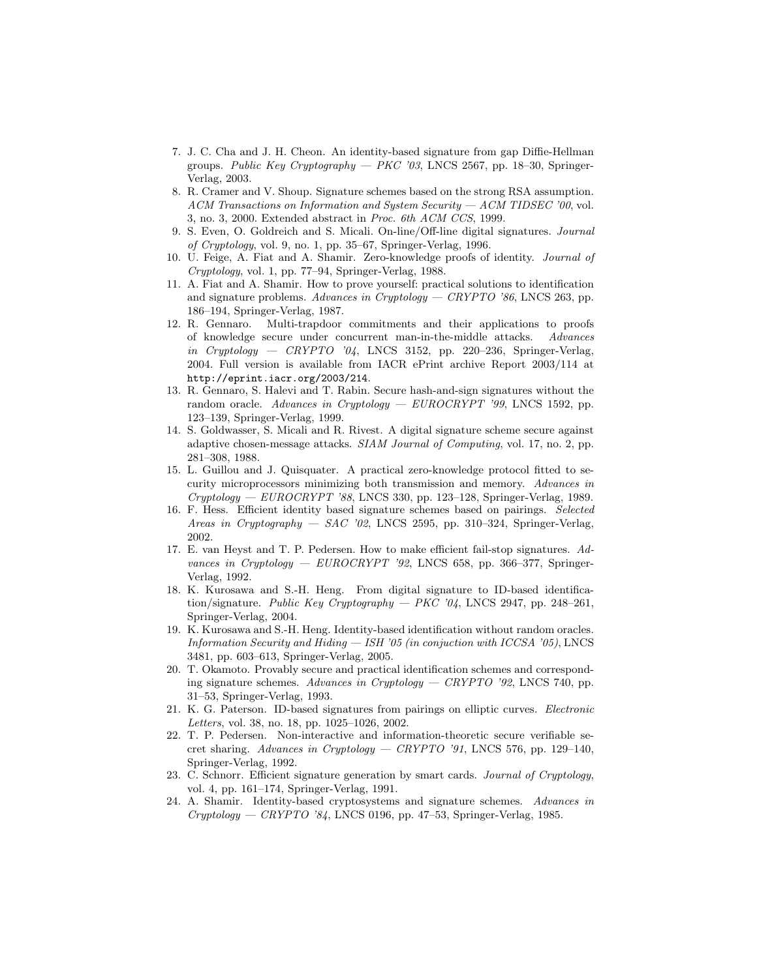- 7. J. C. Cha and J. H. Cheon. An identity-based signature from gap Diffie-Hellman groups. Public Key Cryptography — PKC '03, LNCS 2567, pp. 18–30, Springer-Verlag, 2003.
- 8. R. Cramer and V. Shoup. Signature schemes based on the strong RSA assumption. ACM Transactions on Information and System Security  $-$  ACM TIDSEC '00, vol. 3, no. 3, 2000. Extended abstract in Proc. 6th ACM CCS, 1999.
- 9. S. Even, O. Goldreich and S. Micali. On-line/Off-line digital signatures. Journal of Cryptology, vol. 9, no. 1, pp. 35–67, Springer-Verlag, 1996.
- 10. U. Feige, A. Fiat and A. Shamir. Zero-knowledge proofs of identity. Journal of Cryptology, vol. 1, pp. 77–94, Springer-Verlag, 1988.
- 11. A. Fiat and A. Shamir. How to prove yourself: practical solutions to identification and signature problems. Advances in Cryptology  $-$  CRYPTO '86, LNCS 263, pp. 186–194, Springer-Verlag, 1987.
- 12. R. Gennaro. Multi-trapdoor commitments and their applications to proofs of knowledge secure under concurrent man-in-the-middle attacks. Advances in Cryptology — CRYPTO '04, LNCS 3152, pp. 220–236, Springer-Verlag, 2004. Full version is available from IACR ePrint archive Report 2003/114 at http://eprint.iacr.org/2003/214.
- 13. R. Gennaro, S. Halevi and T. Rabin. Secure hash-and-sign signatures without the random oracle. Advances in Cryptology —  $EUROCRYPT$  '99, LNCS 1592, pp. 123–139, Springer-Verlag, 1999.
- 14. S. Goldwasser, S. Micali and R. Rivest. A digital signature scheme secure against adaptive chosen-message attacks. SIAM Journal of Computing, vol. 17, no. 2, pp. 281–308, 1988.
- 15. L. Guillou and J. Quisquater. A practical zero-knowledge protocol fitted to security microprocessors minimizing both transmission and memory. Advances in  $Cryptology - EUROCRYPT 38$ , LNCS 330, pp. 123–128, Springer-Verlag, 1989.
- 16. F. Hess. Efficient identity based signature schemes based on pairings. Selected Areas in Cryptography — SAC '02, LNCS 2595, pp. 310–324, Springer-Verlag, 2002.
- 17. E. van Heyst and T. P. Pedersen. How to make efficient fail-stop signatures. Advances in Cryptology —  $EUROCRYPT$  '92, LNCS 658, pp. 366–377, Springer-Verlag, 1992.
- 18. K. Kurosawa and S.-H. Heng. From digital signature to ID-based identification/signature. Public Key Cryptography  $-$  PKC '04, LNCS 2947, pp. 248–261, Springer-Verlag, 2004.
- 19. K. Kurosawa and S.-H. Heng. Identity-based identification without random oracles. Information Security and Hiding  $-$  ISH '05 (in conjuction with ICCSA '05), LNCS 3481, pp. 603–613, Springer-Verlag, 2005.
- 20. T. Okamoto. Provably secure and practical identification schemes and corresponding signature schemes. Advances in Cryptology — CRYPTO '92, LNCS 740, pp. 31–53, Springer-Verlag, 1993.
- 21. K. G. Paterson. ID-based signatures from pairings on elliptic curves. Electronic Letters, vol. 38, no. 18, pp. 1025–1026, 2002.
- 22. T. P. Pedersen. Non-interactive and information-theoretic secure verifiable secret sharing. Advances in Cryptology — CRYPTO '91, LNCS 576, pp. 129–140, Springer-Verlag, 1992.
- 23. C. Schnorr. Efficient signature generation by smart cards. Journal of Cryptology, vol. 4, pp. 161–174, Springer-Verlag, 1991.
- 24. A. Shamir. Identity-based cryptosystems and signature schemes. Advances in  $Cryptology - CRYPTO$  '84, LNCS 0196, pp. 47–53, Springer-Verlag, 1985.